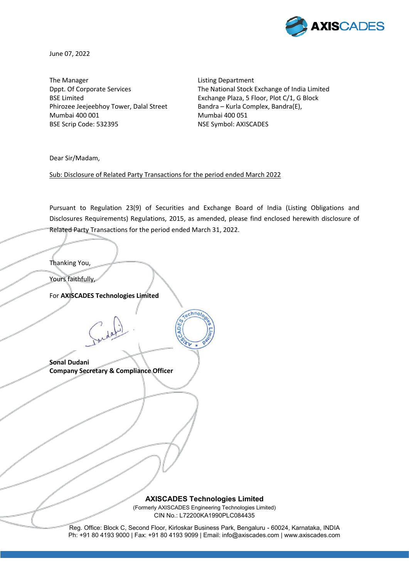

June 07, 2022

The Manager **Listing Department** Phirozee Jeejeebhoy Tower, Dalal Street Bandra – Kurla Complex, Bandra(E), Mumbai 400 001 Mumbai 400 051 BSE Scrip Code: 532395 NSE Symbol: AXISCADES

Dppt. Of Corporate Services The National Stock Exchange of India Limited BSE Limited **Exchange Plaza, 5 Floor, Plot C/1, G Block** 

Dear Sir/Madam,

Sub: Disclosure of Related Party Transactions for the period ended March 2022

Pursuant to Regulation 23(9) of Securities and Exchange Board of India (Listing Obligations and Disclosures Requirements) Regulations, 2015, as amended, please find enclosed herewith disclosure of Related Party Transactions for the period ended March 31, 2022.

chno/

Thanking You,

Yours faithfully,

For **AXISCADES Technologies Limited**

**Sonal Dudani Company Secretary & Compliance Officer** 

Ì

**AXISCADES Technologies Limited** 

(Formerly AXISCADES Engineering Technologies Limited) CIN No.: L72200KA1990PLC084435

Reg. Office: Block C, Second Floor, Kirloskar Business Park, Bengaluru - 60024, Karnataka, INDIA Ph: +91 80 4193 9000 | Fax: +91 80 4193 9099 | Email: info@axiscades.com | www.axiscades.com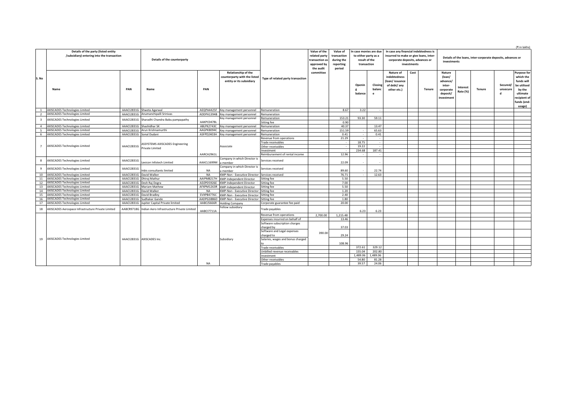|                         |                                                                                   |                             |                                                           |            |                                                                                        |                                                                             |                                                              |                                                      |                        |                                                                                                                                   |                                                                            |      |                                                                            |                                                                               |                      |               |                           | (₹ in lakhs)                                                                                                                |
|-------------------------|-----------------------------------------------------------------------------------|-----------------------------|-----------------------------------------------------------|------------|----------------------------------------------------------------------------------------|-----------------------------------------------------------------------------|--------------------------------------------------------------|------------------------------------------------------|------------------------|-----------------------------------------------------------------------------------------------------------------------------------|----------------------------------------------------------------------------|------|----------------------------------------------------------------------------|-------------------------------------------------------------------------------|----------------------|---------------|---------------------------|-----------------------------------------------------------------------------------------------------------------------------|
|                         | Details of the party (listed entity<br>/subsidiary) entering into the transaction | Details of the counterparty |                                                           |            |                                                                                        | Value of the<br>related party<br>transaction a:<br>approved by<br>the audit | Value of<br>transaction<br>during the<br>reporting<br>period | to either party as a<br>result of the<br>transaction | In case monies are due | In case any financial indebtedness is<br>incurred to make or give loans, inter-<br>corporate deposits, advances or<br>investments |                                                                            |      | Details of the loans, inter-corporate deposits, advances or<br>investments |                                                                               |                      |               |                           |                                                                                                                             |
| S. No                   | Name                                                                              | PAN                         | Name                                                      | PAN        | <b>Relationship of the</b><br>counterparty with the listed<br>entity or its subsidiary | Type of related party transaction                                           | committee                                                    |                                                      | Openin<br>balance      | Closing<br>balanc<br>e                                                                                                            | Nature of<br>indebtedness<br>(loan/issuance<br>of debt/ any<br>other etc.) | Cost | <b>Tenure</b>                                                              | Nature<br>(loan/<br>advance/<br>inter-<br>corporate<br>deposit/<br>investment | Interest<br>Rate (%) | <b>Tenure</b> | Secured/<br>unsecure<br>d | <b>Purpose for</b><br>which the<br>funds will<br>be utilised<br>by the<br>ultimate<br>recipient of<br>funds (end-<br>usage) |
| <sup>1</sup>            | <b>AXISCADES Technologies Limited</b>                                             |                             | AAACI2831G Shweta Agarwal                                 | AEQPA4425F | Key management personnel                                                               | Remuneration                                                                |                                                              | 8.67                                                 | 3.22                   | $\sim$                                                                                                                            |                                                                            |      |                                                                            |                                                                               |                      |               |                           |                                                                                                                             |
| $\overline{2}$          | <b>AXISCADES Technologies Limited</b>                                             |                             | AAACI2831G Anumanchipalli Srinivas                        |            | ADDPA1394B Key management personnel                                                    | Remuneration                                                                |                                                              |                                                      |                        |                                                                                                                                   |                                                                            |      |                                                                            |                                                                               |                      |               |                           |                                                                                                                             |
| $\overline{\mathbf{3}}$ | <b>AXISCADES Technologies Limited</b>                                             |                             | AAACI2831G Sharadhi Chandra Babu pampapathy               |            | Key management personnel                                                               | Remuneration                                                                |                                                              | 153.21                                               | 93.30                  | 59.11                                                                                                                             |                                                                            |      |                                                                            |                                                                               |                      |               |                           |                                                                                                                             |
|                         |                                                                                   |                             |                                                           | AAKPC0478L |                                                                                        | Sitting fee                                                                 |                                                              | 0.90                                                 |                        |                                                                                                                                   |                                                                            |      |                                                                            |                                                                               |                      |               |                           |                                                                                                                             |
| $\overline{4}$          | <b>AXISCADES Technologies Limited</b>                                             |                             | AAACI2831G Shashidhar SK                                  | ABLPK2743C | Key management personnel                                                               | Remuneration                                                                |                                                              | 40.37                                                |                        | 13.47                                                                                                                             |                                                                            |      |                                                                            |                                                                               |                      |               |                           |                                                                                                                             |
| $\overline{a}$          | <b>AXISCADES Technologies Limited</b>                                             |                             | AAACI2831G Arun Krishnamurthi                             | AAGPK8094C | Key management personnel                                                               | Remuneration                                                                |                                                              | 151.59                                               | $\sim$                 | 65.63                                                                                                                             |                                                                            |      |                                                                            |                                                                               |                      |               |                           |                                                                                                                             |
| 6                       | <b>AXISCADES Technologies Limited</b>                                             | AAACI2831G Sonal Dudani     |                                                           | ASFPD2403H | Key management personnel                                                               | Remuneration                                                                |                                                              | 0.41                                                 | $\sim$                 | 0.41                                                                                                                              |                                                                            |      |                                                                            |                                                                               |                      |               |                           |                                                                                                                             |
|                         | <b>AXISCADES Technologies Limited</b>                                             | AAACI2831G                  | <b>ASSYSTEMS AXISCADES Engineering</b><br>Private Limited |            | Associate                                                                              | Revenue from operations                                                     |                                                              | 21.29                                                | $\sim$                 |                                                                                                                                   |                                                                            |      |                                                                            |                                                                               |                      |               |                           |                                                                                                                             |
| 7                       |                                                                                   |                             |                                                           |            |                                                                                        | <b>Trade receivables</b>                                                    |                                                              | $\sim$                                               | 18.75                  | $\sim$                                                                                                                            |                                                                            |      |                                                                            |                                                                               |                      |               |                           |                                                                                                                             |
|                         |                                                                                   |                             |                                                           |            |                                                                                        | Other receivables                                                           |                                                              |                                                      | 19.22                  | $\sim$                                                                                                                            |                                                                            |      |                                                                            |                                                                               |                      |               |                           |                                                                                                                             |
|                         |                                                                                   |                             |                                                           |            |                                                                                        | nvestment                                                                   |                                                              |                                                      | 234.68                 | 187.41                                                                                                                            |                                                                            |      |                                                                            |                                                                               |                      |               |                           |                                                                                                                             |
|                         |                                                                                   |                             |                                                           | AARCA2961  |                                                                                        | Reimbursement of rental income                                              |                                                              | 12.96                                                |                        |                                                                                                                                   |                                                                            |      |                                                                            |                                                                               |                      |               |                           |                                                                                                                             |
| -8                      | <b>AXISCADES Technologies Limited</b>                                             | AAACI2831G                  | Lexicon Infotech Limited                                  | AAACL1699M | Company in which Director is<br>a member                                               | Services received                                                           |                                                              | 22.09                                                | $\sim$                 |                                                                                                                                   |                                                                            |      |                                                                            |                                                                               |                      |               |                           |                                                                                                                             |
| 9                       | <b>AXISCADES Technologies Limited</b>                                             | AAACI2831G                  | Inbis consultants limited                                 | <b>NA</b>  | Company in which Director is<br>a member                                               | Services received                                                           |                                                              | 89.60                                                |                        | 22.74                                                                                                                             |                                                                            |      |                                                                            |                                                                               |                      |               |                           |                                                                                                                             |
| 10                      | <b>AXISCADES Technologies Limited</b>                                             |                             | AAACI2831G David Walker                                   | <b>NA</b>  | KMP-Non - Executive Director Services received                                         |                                                                             |                                                              | 76.71                                                | $\sim$                 | 12.63                                                                                                                             |                                                                            |      |                                                                            |                                                                               |                      |               |                           |                                                                                                                             |
| 11                      | <b>AXISCADES Technologies Limited</b>                                             |                             | AAACI2831G Dhiraj Mathur                                  | AAIPM8217H | <b>KMP-Independent Director</b>                                                        | Sitting fee                                                                 |                                                              | 5.50                                                 |                        |                                                                                                                                   |                                                                            |      |                                                                            |                                                                               |                      |               |                           |                                                                                                                             |
| 12                      | <b>AXISCADES Technologies Limited</b>                                             |                             | AAACI2831G Desh Raj Dogra                                 | ADZPD5926E | <b>KMP-Independent Director</b>                                                        | Sitting fee                                                                 |                                                              | 7.00                                                 |                        |                                                                                                                                   |                                                                            |      |                                                                            |                                                                               |                      |               |                           |                                                                                                                             |
| 13                      | <b>AXISCADES Technologies Limited</b>                                             |                             | AAACI2831G Mariam Mathew                                  | AFXPM1263R | <b>KMP-Independent Director</b>                                                        | Sitting fee                                                                 |                                                              | 5.50                                                 |                        |                                                                                                                                   |                                                                            |      |                                                                            |                                                                               |                      |               |                           |                                                                                                                             |
| 14                      | <b>AXISCADES Technologies Limited</b>                                             |                             | AAACI2831G David Walker                                   | <b>NA</b>  | KMP-Non - Executive Director                                                           | Sitting fee                                                                 |                                                              | 1.20                                                 |                        |                                                                                                                                   |                                                                            |      |                                                                            |                                                                               |                      |               |                           |                                                                                                                             |
| 15                      | <b>AXISCADES Technologies Limited</b>                                             |                             | AAACI2831G David Bradley                                  | EVXPB4776C | KMP-Non - Executive Director Sitting fee                                               |                                                                             |                                                              | 2.40                                                 |                        |                                                                                                                                   |                                                                            |      |                                                                            |                                                                               |                      |               |                           |                                                                                                                             |
| 16                      | <b>AXISCADES Technologies Limited</b>                                             |                             | AAACI2831G Sudhakar Gande                                 | AADPG3886D | KMP-Non - Executive Director Sitting fee                                               |                                                                             |                                                              | 1.80                                                 |                        |                                                                                                                                   |                                                                            |      |                                                                            |                                                                               |                      |               |                           |                                                                                                                             |
| 17                      | <b>AXISCADES Technologies Limited</b>                                             |                             | AAACI2831G Jupiter Capital Private limited                | AABCJ5666R | <b>Holding Company</b>                                                                 | Corporate guarantee fee paid                                                |                                                              | 20.00                                                |                        |                                                                                                                                   |                                                                            |      |                                                                            |                                                                               |                      |               |                           |                                                                                                                             |
| 18                      | AXISCADES Aerospace Infrastructure Private Limited                                |                             | AABCR9718G Indian Aero Infrastructure Private Limited     | AABCI7711A | Fellow subsidiary                                                                      | Trade payables                                                              |                                                              |                                                      | 6.23                   | 6.23                                                                                                                              |                                                                            |      |                                                                            |                                                                               |                      |               |                           |                                                                                                                             |
|                         |                                                                                   |                             |                                                           |            |                                                                                        | Revenue from operations                                                     | 2,700.00                                                     | 1,215.48                                             |                        |                                                                                                                                   |                                                                            |      |                                                                            |                                                                               |                      |               |                           |                                                                                                                             |
|                         |                                                                                   |                             |                                                           |            |                                                                                        | Expenses incurred on behalf of                                              |                                                              | 13.46                                                |                        |                                                                                                                                   |                                                                            |      |                                                                            |                                                                               |                      |               |                           |                                                                                                                             |
|                         |                                                                                   |                             |                                                           |            |                                                                                        | Software subscription charges                                               | 390.00                                                       |                                                      |                        |                                                                                                                                   |                                                                            |      |                                                                            |                                                                               |                      |               |                           |                                                                                                                             |
|                         |                                                                                   |                             |                                                           |            |                                                                                        | charged by                                                                  |                                                              | 37.03                                                |                        |                                                                                                                                   |                                                                            |      |                                                                            |                                                                               |                      |               |                           |                                                                                                                             |
|                         |                                                                                   |                             |                                                           |            |                                                                                        | Software and Legal expenses                                                 |                                                              |                                                      |                        |                                                                                                                                   |                                                                            |      |                                                                            |                                                                               |                      |               |                           |                                                                                                                             |
|                         |                                                                                   |                             |                                                           |            |                                                                                        | charged to                                                                  |                                                              | 29.24                                                |                        |                                                                                                                                   |                                                                            |      |                                                                            |                                                                               |                      |               |                           |                                                                                                                             |
| 19                      | <b>AXISCADES Technologies Limited</b>                                             |                             | AAACI2831G AXISCADES Inc.                                 |            | Subsidiary                                                                             | Salaries, wages and bonus charged                                           |                                                              |                                                      |                        |                                                                                                                                   |                                                                            |      |                                                                            |                                                                               |                      |               |                           |                                                                                                                             |
|                         |                                                                                   |                             |                                                           |            |                                                                                        |                                                                             |                                                              | 108.96                                               |                        |                                                                                                                                   |                                                                            |      |                                                                            |                                                                               |                      |               |                           |                                                                                                                             |
|                         |                                                                                   |                             |                                                           |            |                                                                                        | Trade receivables                                                           |                                                              |                                                      | 372.61                 | 329.12                                                                                                                            |                                                                            |      |                                                                            |                                                                               |                      |               |                           |                                                                                                                             |
|                         |                                                                                   |                             |                                                           |            |                                                                                        | Unbilled revenue receivables                                                |                                                              |                                                      | 155.04                 | 202.80                                                                                                                            |                                                                            |      |                                                                            |                                                                               |                      |               |                           |                                                                                                                             |
|                         |                                                                                   |                             |                                                           | <b>NA</b>  |                                                                                        | nvestment                                                                   |                                                              |                                                      | 1.489.06               | 1,489.06                                                                                                                          |                                                                            |      |                                                                            |                                                                               |                      |               |                           |                                                                                                                             |
|                         |                                                                                   |                             |                                                           |            |                                                                                        | Other receivables                                                           |                                                              |                                                      | 54.80                  | 81.28                                                                                                                             |                                                                            |      |                                                                            |                                                                               |                      |               |                           |                                                                                                                             |
|                         |                                                                                   |                             |                                                           |            |                                                                                        | Trade payables                                                              |                                                              |                                                      | 39.57                  | 24.06                                                                                                                             |                                                                            |      |                                                                            |                                                                               |                      |               |                           |                                                                                                                             |
|                         |                                                                                   |                             |                                                           |            |                                                                                        |                                                                             |                                                              |                                                      |                        |                                                                                                                                   |                                                                            |      |                                                                            |                                                                               |                      |               |                           |                                                                                                                             |